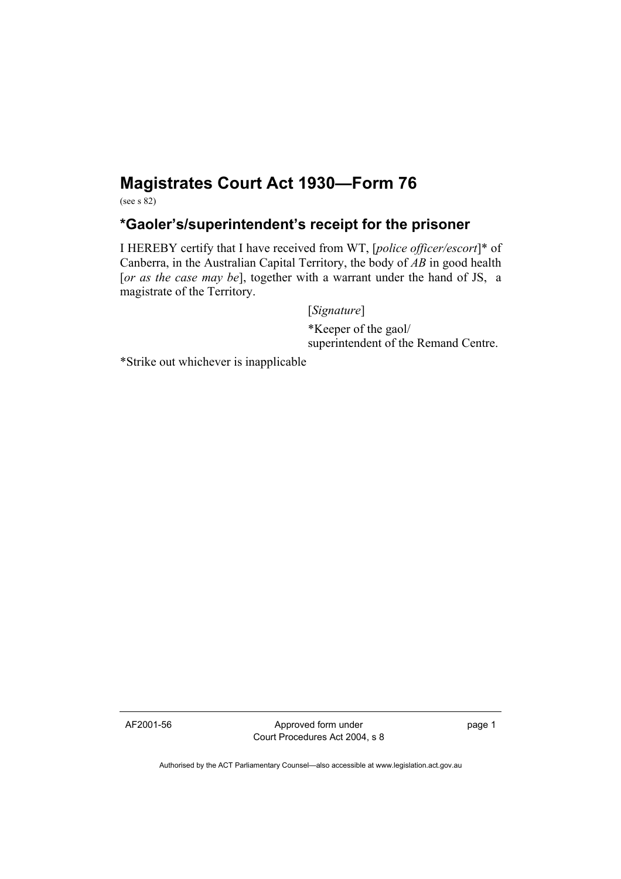## **Magistrates Court Act 1930—Form 76**

(see s 82)

## **\*Gaoler's/superintendent's receipt for the prisoner**

I HEREBY certify that I have received from WT, [*police officer/escort*]\* of Canberra, in the Australian Capital Territory, the body of *AB* in good health [*or as the case may be*], together with a warrant under the hand of JS, a magistrate of the Territory.

[*Signature*]

 \*Keeper of the gaol/ superintendent of the Remand Centre.

\*Strike out whichever is inapplicable

AF2001-56 Approved form under Court Procedures Act 2004, s 8 page 1

Authorised by the ACT Parliamentary Counsel—also accessible at www.legislation.act.gov.au